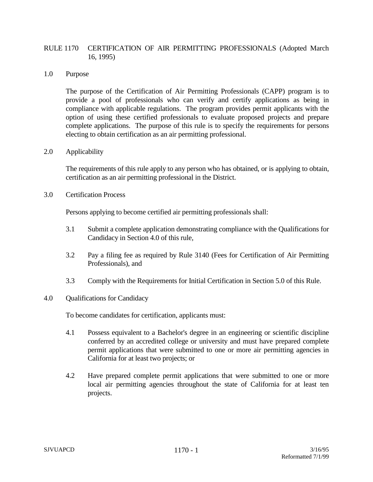# RULE 1170 CERTIFICATION OF AIR PERMITTING PROFESSIONALS (Adopted March 16, 1995)

# 1.0 Purpose

The purpose of the Certification of Air Permitting Professionals (CAPP) program is to provide a pool of professionals who can verify and certify applications as being in compliance with applicable regulations. The program provides permit applicants with the option of using these certified professionals to evaluate proposed projects and prepare complete applications. The purpose of this rule is to specify the requirements for persons electing to obtain certification as an air permitting professional.

#### 2.0 Applicability

The requirements of this rule apply to any person who has obtained, or is applying to obtain, certification as an air permitting professional in the District.

#### 3.0 Certification Process

Persons applying to become certified air permitting professionals shall:

- 3.1 Submit a complete application demonstrating compliance with the Qualifications for Candidacy in Section 4.0 of this rule,
- 3.2 Pay a filing fee as required by Rule 3140 (Fees for Certification of Air Permitting Professionals), and
- 3.3 Comply with the Requirements for Initial Certification in Section 5.0 of this Rule.

# 4.0 Qualifications for Candidacy

To become candidates for certification, applicants must:

- 4.1 Possess equivalent to a Bachelor's degree in an engineering or scientific discipline conferred by an accredited college or university and must have prepared complete permit applications that were submitted to one or more air permitting agencies in California for at least two projects; or
- 4.2 Have prepared complete permit applications that were submitted to one or more local air permitting agencies throughout the state of California for at least ten projects.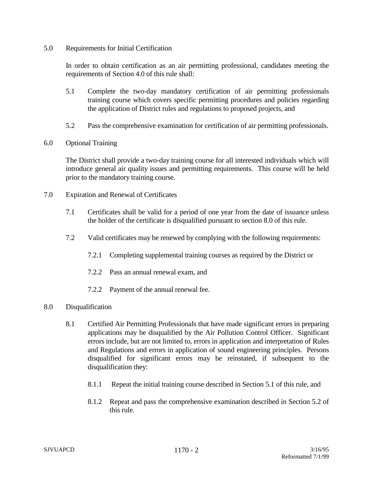# 5.0 Requirements for Initial Certification

In order to obtain certification as an air permitting professional, candidates meeting the requirements of Section 4.0 of this rule shall:

- 5.1 Complete the two-day mandatory certification of air permitting professionals training course which covers specific permitting procedures and policies regarding the application of District rules and regulations to proposed projects, and
- 5.2 Pass the comprehensive examination for certification of air permitting professionals.
- 6.0 Optional Training

The District shall provide a two-day training course for all interested individuals which will introduce general air quality issues and permitting requirements. This course will be held prior to the mandatory training course.

- 7.0 Expiration and Renewal of Certificates
	- 7.1 Certificates shall be valid for a period of one year from the date of issuance unless the holder of the certificate is disqualified pursuant to section 8.0 of this rule.
	- 7.2 Valid certificates may be renewed by complying with the following requirements:
		- 7.2.1 Completing supplemental training courses as required by the District or
		- 7.2.2 Pass an annual renewal exam, and
		- 7.2.2 Payment of the annual renewal fee.
- 8.0 Disqualification
	- 8.1 Certified Air Permitting Professionals that have made significant errors in preparing applications may be disqualified by the Air Pollution Control Officer. Significant errors include, but are not limited to, errors in application and interpretation of Rules and Regulations and errors in application of sound engineering principles. Persons disqualified for significant errors may be reinstated, if subsequent to the disqualification they:
		- 8.1.1 Repeat the initial training course described in Section 5.1 of this rule, and
		- 8.1.2 Repeat and pass the comprehensive examination described in Section 5.2 of this rule.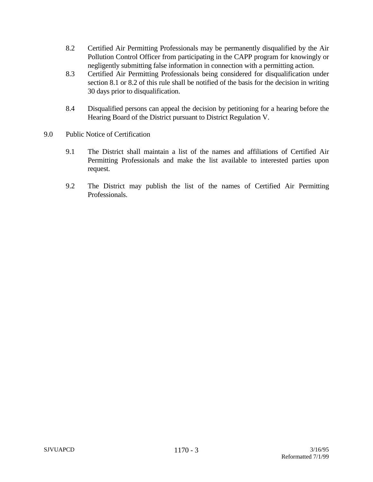- 8.2 Certified Air Permitting Professionals may be permanently disqualified by the Air Pollution Control Officer from participating in the CAPP program for knowingly or negligently submitting false information in connection with a permitting action.
- 8.3 Certified Air Permitting Professionals being considered for disqualification under section 8.1 or 8.2 of this rule shall be notified of the basis for the decision in writing 30 days prior to disqualification.
- 8.4 Disqualified persons can appeal the decision by petitioning for a hearing before the Hearing Board of the District pursuant to District Regulation V.
- 9.0 Public Notice of Certification
	- 9.1 The District shall maintain a list of the names and affiliations of Certified Air Permitting Professionals and make the list available to interested parties upon request.
	- 9.2 The District may publish the list of the names of Certified Air Permitting Professionals.